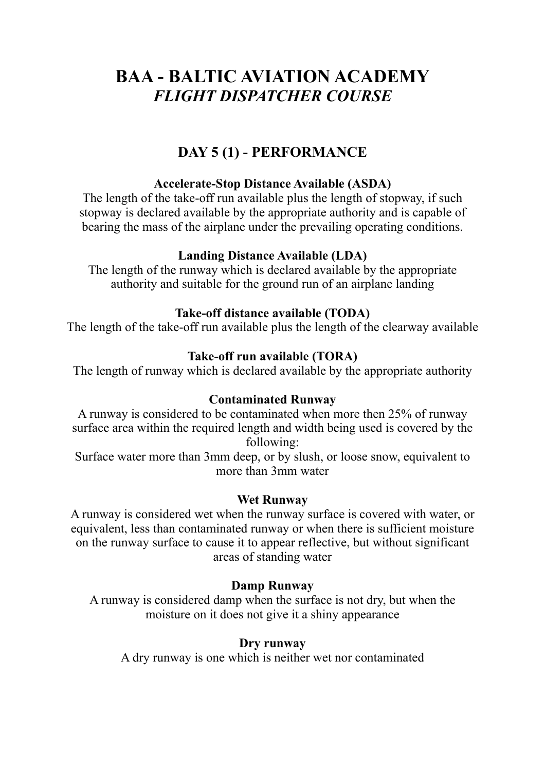# **BAA - BALTIC AVIATION ACADEMY** *FLIGHT DISPATCHER COURSE*

## **DAY 5 (1) - PERFORMANCE**

#### **Accelerate-Stop Distance Available (ASDA)**

The length of the take-off run available plus the length of stopway, if such stopway is declared available by the appropriate authority and is capable of bearing the mass of the airplane under the prevailing operating conditions.

#### **Landing Distance Available (LDA)**

The length of the runway which is declared available by the appropriate authority and suitable for the ground run of an airplane landing

#### **Take-off distance available (TODA)**

The length of the take-off run available plus the length of the clearway available

#### **Take-off run available (TORA)**

The length of runway which is declared available by the appropriate authority

#### **Contaminated Runway**

A runway is considered to be contaminated when more then 25% of runway surface area within the required length and width being used is covered by the following:

Surface water more than 3mm deep, or by slush, or loose snow, equivalent to more than 3mm water

#### **Wet Runway**

A runway is considered wet when the runway surface is covered with water, or equivalent, less than contaminated runway or when there is sufficient moisture on the runway surface to cause it to appear reflective, but without significant areas of standing water

## **Damp Runway**

A runway is considered damp when the surface is not dry, but when the moisture on it does not give it a shiny appearance

#### **Dry runway**

A dry runway is one which is neither wet nor contaminated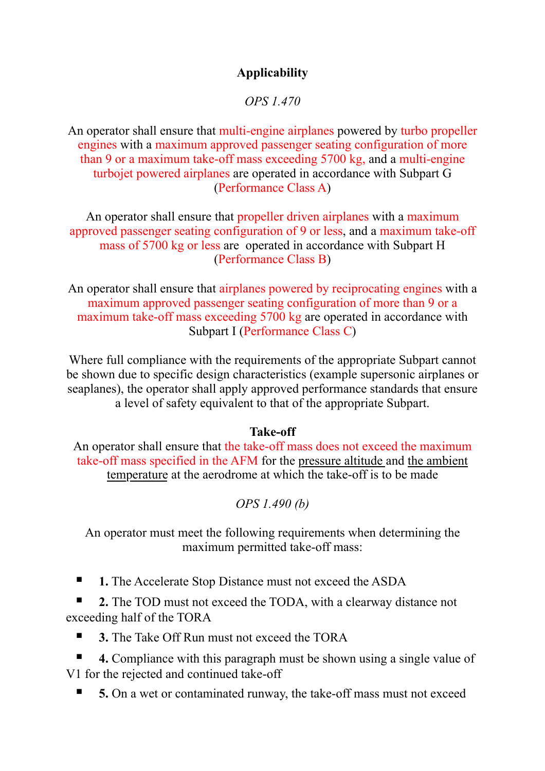## **Applicability**

*OPS 1.470*

An operator shall ensure that multi-engine airplanes powered by turbo propeller engines with a maximum approved passenger seating configuration of more than 9 or a maximum take-off mass exceeding 5700 kg, and a multi-engine turbojet powered airplanes are operated in accordance with Subpart G (Performance Class A)

An operator shall ensure that propeller driven airplanes with a maximum approved passenger seating configuration of 9 or less, and a maximum take-off mass of 5700 kg or less are operated in accordance with Subpart H (Performance Class B)

An operator shall ensure that airplanes powered by reciprocating engines with a maximum approved passenger seating configuration of more than 9 or a maximum take-off mass exceeding 5700 kg are operated in accordance with Subpart I (Performance Class C)

Where full compliance with the requirements of the appropriate Subpart cannot be shown due to specific design characteristics (example supersonic airplanes or seaplanes), the operator shall apply approved performance standards that ensure a level of safety equivalent to that of the appropriate Subpart.

#### **Take-off**

An operator shall ensure that the take-off mass does not exceed the maximum take-off mass specified in the AFM for the pressure altitude and the ambient temperature at the aerodrome at which the take-off is to be made

*OPS 1.490 (b)*

An operator must meet the following requirements when determining the maximum permitted take-off mass:

**▪ 1.** The Accelerate Stop Distance must not exceed the ASDA

**2.** The TOD must not exceed the TODA, with a clearway distance not exceeding half of the TORA

■ **3.** The Take Off Run must not exceed the TORA

**4.** Compliance with this paragraph must be shown using a single value of V1 for the rejected and continued take-off

**5.** On a wet or contaminated runway, the take-off mass must not exceed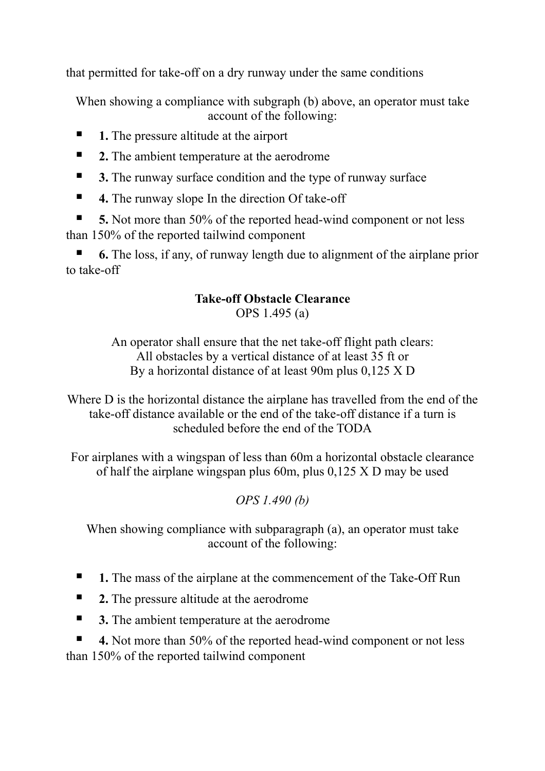that permitted for take-off on a dry runway under the same conditions

When showing a compliance with subgraph (b) above, an operator must take account of the following:

- **1.** The pressure altitude at the airport
- **2.** The ambient temperature at the aerodrome
- **3.** The runway surface condition and the type of runway surface
- **4.** The runway slope In the direction Of take-off

**5.** Not more than 50% of the reported head-wind component or not less than 150% of the reported tailwind component

**6.** The loss, if any, of runway length due to alignment of the airplane prior to take-off

# **Take-off Obstacle Clearance**

OPS 1.495 (a)

An operator shall ensure that the net take-off flight path clears: All obstacles by a vertical distance of at least 35 ft or By a horizontal distance of at least 90m plus 0,125 X D

Where D is the horizontal distance the airplane has travelled from the end of the take-off distance available or the end of the take-off distance if a turn is scheduled before the end of the TODA

For airplanes with a wingspan of less than 60m a horizontal obstacle clearance of half the airplane wingspan plus 60m, plus 0,125 X D may be used

## *OPS 1.490 (b)*

When showing compliance with subparagraph (a), an operator must take account of the following:

- 1. The mass of the airplane at the commencement of the Take-Off Run
- **2.** The pressure altitude at the aerodrome
- **3.** The ambient temperature at the aerodrome

**4.** Not more than 50% of the reported head-wind component or not less than 150% of the reported tailwind component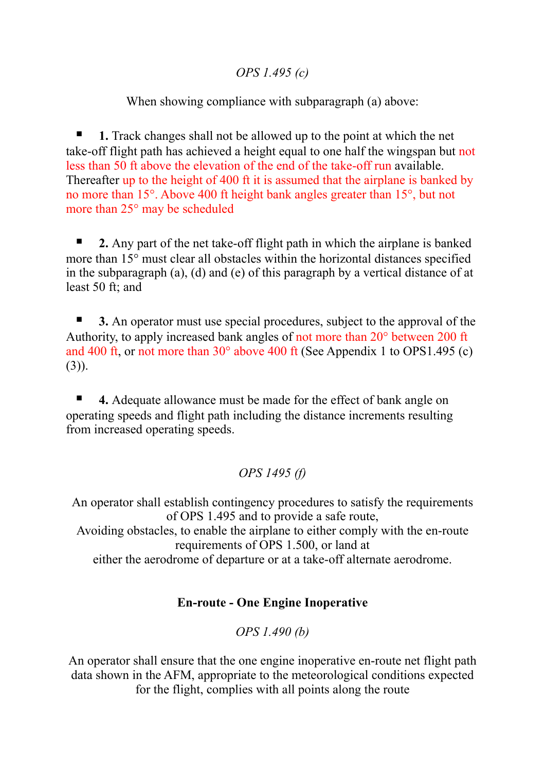#### *OPS 1.495 (c)*

When showing compliance with subparagraph (a) above:

**1.** Track changes shall not be allowed up to the point at which the net take-off flight path has achieved a height equal to one half the wingspan but not less than 50 ft above the elevation of the end of the take-off run available. Thereafter up to the height of 400 ft it is assumed that the airplane is banked by no more than 15°. Above 400 ft height bank angles greater than 15°, but not more than 25° may be scheduled

**2.** Any part of the net take-off flight path in which the airplane is banked more than 15° must clear all obstacles within the horizontal distances specified in the subparagraph (a), (d) and (e) of this paragraph by a vertical distance of at least 50 ft; and

**3.** An operator must use special procedures, subject to the approval of the Authority, to apply increased bank angles of not more than 20° between 200 ft and 400 ft, or not more than 30° above 400 ft (See Appendix 1 to OPS1.495 (c)  $(3)$ ).

**4.** Adequate allowance must be made for the effect of bank angle on operating speeds and flight path including the distance increments resulting from increased operating speeds.

## *OPS 1495 (f)*

An operator shall establish contingency procedures to satisfy the requirements of OPS 1.495 and to provide a safe route, Avoiding obstacles, to enable the airplane to either comply with the en-route requirements of OPS 1.500, or land at either the aerodrome of departure or at a take-off alternate aerodrome.

## **En-route - One Engine Inoperative**

*OPS 1.490 (b)*

An operator shall ensure that the one engine inoperative en-route net flight path data shown in the AFM, appropriate to the meteorological conditions expected for the flight, complies with all points along the route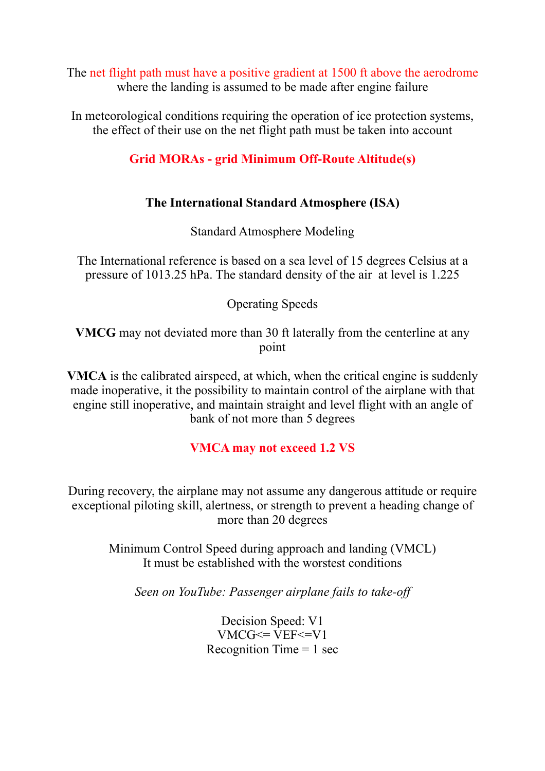The net flight path must have a positive gradient at 1500 ft above the aerodrome where the landing is assumed to be made after engine failure

In meteorological conditions requiring the operation of ice protection systems, the effect of their use on the net flight path must be taken into account

## **Grid MORAs - grid Minimum Off-Route Altitude(s)**

## **The International Standard Atmosphere (ISA)**

Standard Atmosphere Modeling

The International reference is based on a sea level of 15 degrees Celsius at a pressure of 1013.25 hPa. The standard density of the air at level is 1.225

Operating Speeds

**VMCG** may not deviated more than 30 ft laterally from the centerline at any point

**VMCA** is the calibrated airspeed, at which, when the critical engine is suddenly made inoperative, it the possibility to maintain control of the airplane with that engine still inoperative, and maintain straight and level flight with an angle of bank of not more than 5 degrees

## **VMCA may not exceed 1.2 VS**

During recovery, the airplane may not assume any dangerous attitude or require exceptional piloting skill, alertness, or strength to prevent a heading change of more than 20 degrees

> Minimum Control Speed during approach and landing (VMCL) It must be established with the worstest conditions

*Seen on YouTube: Passenger airplane fails to take-off*

Decision Speed: V1  $VMCG \le VEF \le V1$ Recognition Time  $= 1$  sec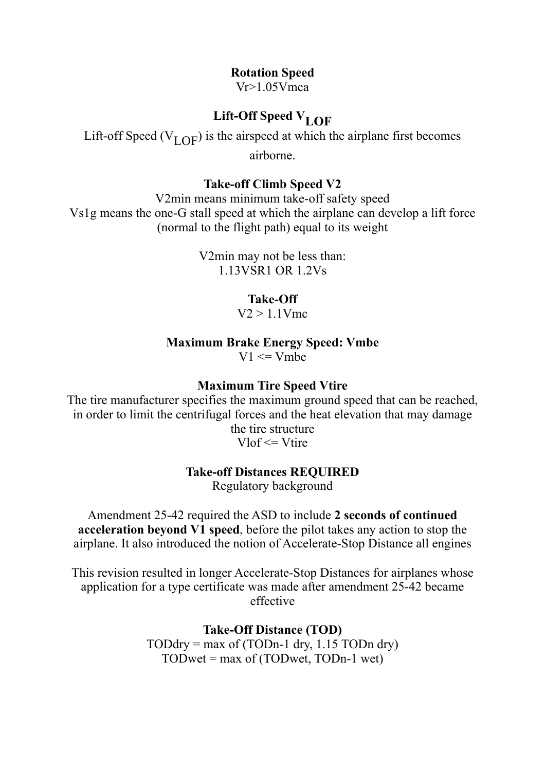#### **Rotation Speed**

 $Vr>1.05V$ mca

## Lift-Off Speed V<sub>LOF</sub>

Lift-off Speed ( $V_{\text{LOF}}$ ) is the airspeed at which the airplane first becomes

airborne.

#### **Take-off Climb Speed V2**

V2min means minimum take-off safety speed Vs1g means the one-G stall speed at which the airplane can develop a lift force (normal to the flight path) equal to its weight

> V2min may not be less than: 1.13VSR1 OR 1.2Vs

#### **Take-Off**

 $V2 > 1.1$  Vmc

#### **Maximum Brake Energy Speed: Vmbe**  $V1 \le Vmbe$

#### **Maximum Tire Speed Vtire**

The tire manufacturer specifies the maximum ground speed that can be reached, in order to limit the centrifugal forces and the heat elevation that may damage the tire structure

 $V\ln f \leq V\ln f$ 

#### **Take-off Distances REQUIRED**

Regulatory background

Amendment 25-42 required the ASD to include **2 seconds of continued acceleration beyond V1 speed**, before the pilot takes any action to stop the airplane. It also introduced the notion of Accelerate-Stop Distance all engines

This revision resulted in longer Accelerate-Stop Distances for airplanes whose application for a type certificate was made after amendment 25-42 became effective

> **Take-Off Distance (TOD)**  $TODdry = max of (TODn-1 dry, 1.15 TODn dry)$  $TODwet = max of (TODwet, TODn-1 wet)$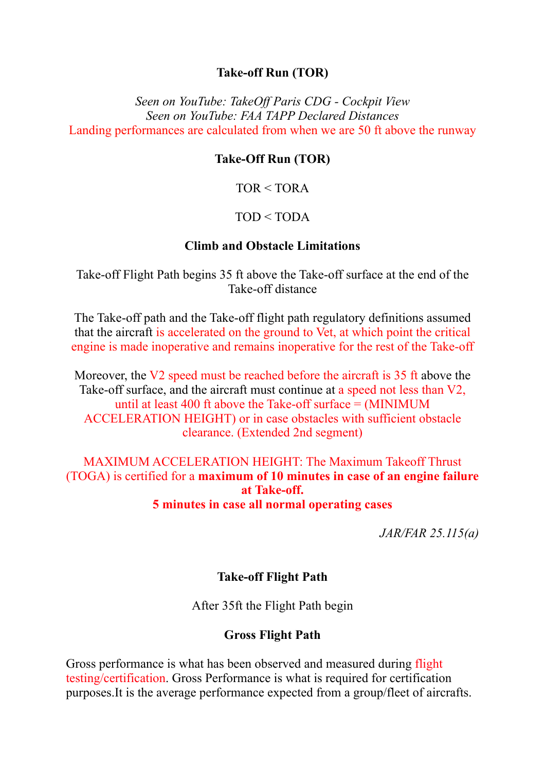#### **Take-off Run (TOR)**

*Seen on YouTube: TakeOff Paris CDG - Cockpit View Seen on YouTube: FAA TAPP Declared Distances* Landing performances are calculated from when we are 50 ft above the runway

#### **Take-Off Run (TOR)**

 $TOR < TORA$ 

#### $TOD < TODA$

#### **Climb and Obstacle Limitations**

Take-off Flight Path begins 35 ft above the Take-off surface at the end of the Take-off distance

The Take-off path and the Take-off flight path regulatory definitions assumed that the aircraft is accelerated on the ground to Vet, at which point the critical engine is made inoperative and remains inoperative for the rest of the Take-off

Moreover, the V2 speed must be reached before the aircraft is 35 ft above the Take-off surface, and the aircraft must continue at a speed not less than V2, until at least 400 ft above the Take-off surface = (MINIMUM ACCELERATION HEIGHT) or in case obstacles with sufficient obstacle clearance. (Extended 2nd segment)

### MAXIMUM ACCELERATION HEIGHT: The Maximum Takeoff Thrust (TOGA) is certified for a **maximum of 10 minutes in case of an engine failure at Take-off. 5 minutes in case all normal operating cases**

*JAR/FAR 25.115(a)*

#### **Take-off Flight Path**

After 35ft the Flight Path begin

#### **Gross Flight Path**

Gross performance is what has been observed and measured during flight testing/certification. Gross Performance is what is required for certification purposes.It is the average performance expected from a group/fleet of aircrafts.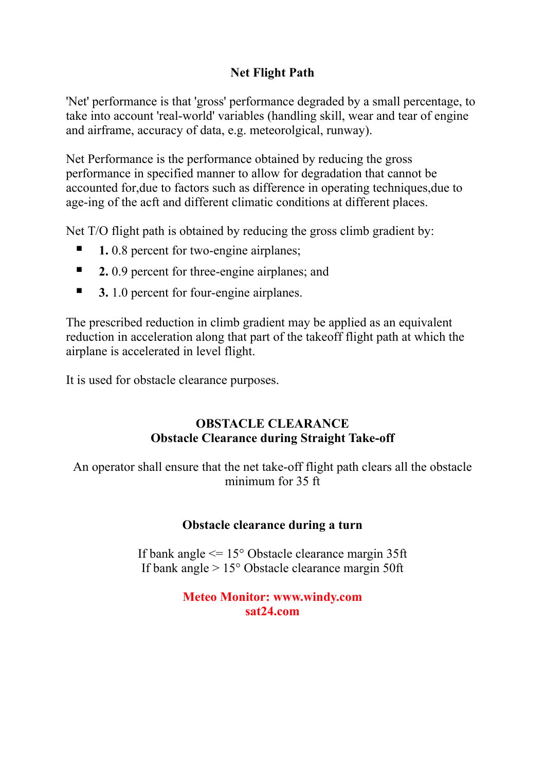## **Net Flight Path**

'Net' performance is that 'gross' performance degraded by a small percentage, to take into account 'real-world' variables (handling skill, wear and tear of engine and airframe, accuracy of data, e.g. meteorolgical, runway).

Net Performance is the performance obtained by reducing the gross performance in specified manner to allow for degradation that cannot be accounted for,due to factors such as difference in operating techniques,due to age-ing of the acft and different climatic conditions at different places.

Net T/O flight path is obtained by reducing the gross climb gradient by:

- **1.** 0.8 percent for two-engine airplanes;
- **2.** 0.9 percent for three-engine airplanes; and
- **3.** 1.0 percent for four-engine airplanes.

The prescribed reduction in climb gradient may be applied as an equivalent reduction in acceleration along that part of the takeoff flight path at which the airplane is accelerated in level flight.

It is used for obstacle clearance purposes.

#### **OBSTACLE CLEARANCE Obstacle Clearance during Straight Take-off**

An operator shall ensure that the net take-off flight path clears all the obstacle minimum for 35 ft

#### **Obstacle clearance during a turn**

If bank angle <= 15° Obstacle clearance margin 35ft If bank angle > 15° Obstacle clearance margin 50ft

#### **Meteo Monitor: www.windy.com sat24.com**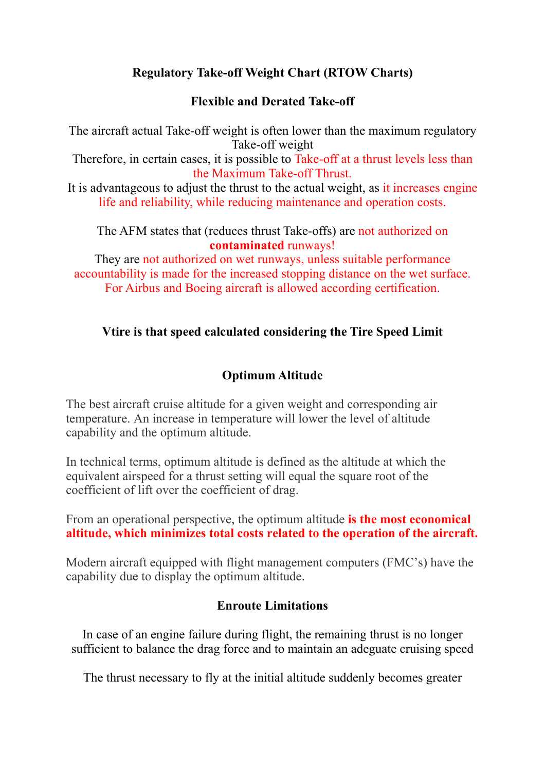## **Regulatory Take-off Weight Chart (RTOW Charts)**

## **Flexible and Derated Take-off**

The aircraft actual Take-off weight is often lower than the maximum regulatory Take-off weight Therefore, in certain cases, it is possible to Take-off at a thrust levels less than the Maximum Take-off Thrust.

It is advantageous to adjust the thrust to the actual weight, as it increases engine life and reliability, while reducing maintenance and operation costs.

#### The AFM states that (reduces thrust Take-offs) are not authorized on **contaminated** runways!

They are not authorized on wet runways, unless suitable performance accountability is made for the increased stopping distance on the wet surface. For Airbus and Boeing aircraft is allowed according certification.

## **Vtire is that speed calculated considering the Tire Speed Limit**

## **Optimum Altitude**

The best aircraft cruise altitude for a given weight and corresponding air temperature. An increase in temperature will lower the level of altitude capability and the optimum altitude.

In technical terms, optimum altitude is defined as the altitude at which the equivalent airspeed for a thrust setting will equal the square root of the coefficient of lift over the coefficient of drag.

From an operational perspective, the optimum altitude **is the most economical altitude, which minimizes total costs related to the operation of the aircraft.** 

Modern aircraft equipped with flight management computers (FMC's) have the capability due to display the optimum altitude.

#### **Enroute Limitations**

In case of an engine failure during flight, the remaining thrust is no longer sufficient to balance the drag force and to maintain an adeguate cruising speed

The thrust necessary to fly at the initial altitude suddenly becomes greater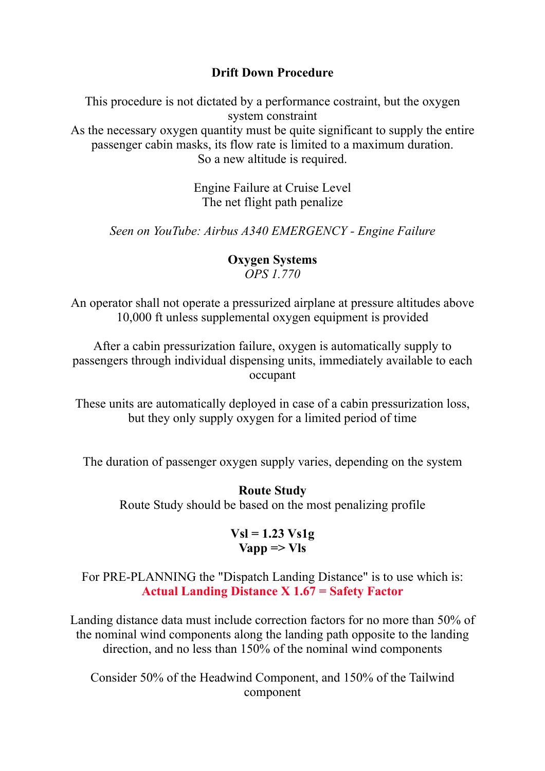#### **Drift Down Procedure**

This procedure is not dictated by a performance costraint, but the oxygen system constraint As the necessary oxygen quantity must be quite significant to supply the entire passenger cabin masks, its flow rate is limited to a maximum duration. So a new altitude is required.

> Engine Failure at Cruise Level The net flight path penalize

*Seen on YouTube: Airbus A340 EMERGENCY - Engine Failure*

## **Oxygen Systems** *OPS 1.770*

An operator shall not operate a pressurized airplane at pressure altitudes above 10,000 ft unless supplemental oxygen equipment is provided

After a cabin pressurization failure, oxygen is automatically supply to passengers through individual dispensing units, immediately available to each occupant

These units are automatically deployed in case of a cabin pressurization loss, but they only supply oxygen for a limited period of time

The duration of passenger oxygen supply varies, depending on the system

## **Route Study**

Route Study should be based on the most penalizing profile

#### **Vsl = 1.23 Vs1g**  $V$ app  $\Rightarrow$  V<sub>ls</sub>

For PRE-PLANNING the "Dispatch Landing Distance" is to use which is: **Actual Landing Distance X 1.67 = Safety Factor**

Landing distance data must include correction factors for no more than 50% of the nominal wind components along the landing path opposite to the landing direction, and no less than 150% of the nominal wind components

Consider 50% of the Headwind Component, and 150% of the Tailwind component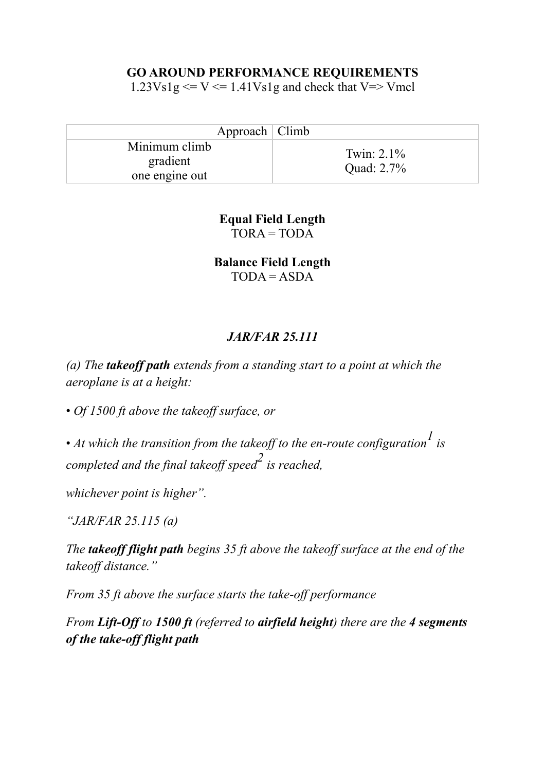#### **GO AROUND PERFORMANCE REQUIREMENTS**

 $1.23Vslg \le V \le 1.41Vslg$  and check that V=> Vmcl

| Approach   Climb                            |                             |
|---------------------------------------------|-----------------------------|
| Minimum climb<br>gradient<br>one engine out | Twin: $2.1\%$<br>Quad: 2.7% |

**Equal Field Length**   $TORA = TODA$ 

**Balance Field Length**   $TODA = ASDA$ 

## *JAR/FAR 25.111*

*(a) The takeoff path extends from a standing start to a point at which the aeroplane is at a height:* 

• *Of 1500 ft above the takeoff surface, or* 

• *At which the transition from the takeoff to the en-route configuration1 is completed and the final takeoff speed2 is reached,* 

*whichever point is higher".* 

*"JAR/FAR 25.115 (a)*

*The takeoff flight path begins 35 ft above the takeoff surface at the end of the takeoff distance."* 

*From 35 ft above the surface starts the take-off performance*

*From Lift-Off to 1500 ft (referred to airfield height) there are the 4 segments of the take-off flight path*